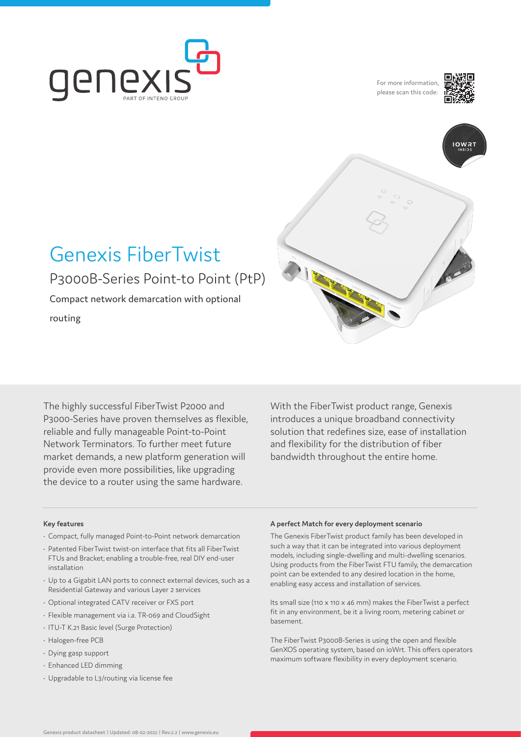

For more information please scan this code:





# Genexis FiberTwist P3000B-Series Point-to Point (PtP)

Compact network demarcation with optional

routing

The highly successful FiberTwist P2000 and P3000-Series have proven themselves as flexible, reliable and fully manageable Point-to-Point Network Terminators. To further meet future market demands, a new platform generation will provide even more possibilities, like upgrading the device to a router using the same hardware.

With the FiberTwist product range, Genexis introduces a unique broadband connectivity solution that redefines size, ease of installation and flexibility for the distribution of fiber bandwidth throughout the entire home.

### **Key features**

- Compact, fully managed Point-to-Point network demarcation
- Patented FiberTwist twist-on interface that fits all FiberTwist FTUs and Bracket; enabling a trouble-free, real DIY end-user installation
- Up to 4 Gigabit LAN ports to connect external devices, such as a Residential Gateway and various Layer 2 services
- Optional integrated CATV receiver or FXS port
- Flexible management via i.a. TR-069 and CloudSight
- ITU-T K.21 Basic level (Surge Protection)
- Halogen-free PCB
- Dying gasp support
- Enhanced LED dimming
- Upgradable to L3/routing via license fee

#### **A perfect Match for every deployment scenario**

The Genexis FiberTwist product family has been developed in such a way that it can be integrated into various deployment models, including single-dwelling and multi-dwelling scenarios. Using products from the FiberTwist FTU family, the demarcation point can be extended to any desired location in the home, enabling easy access and installation of services.

Its small size (110 x 110 x 46 mm) makes the FiberTwist a perfect fit in any environment, be it a living room, metering cabinet or basement.

The FiberTwist P3000B-Series is using the open and flexible GenXOS operating system, based on ioWrt. This offers operators maximum software flexibility in every deployment scenario.